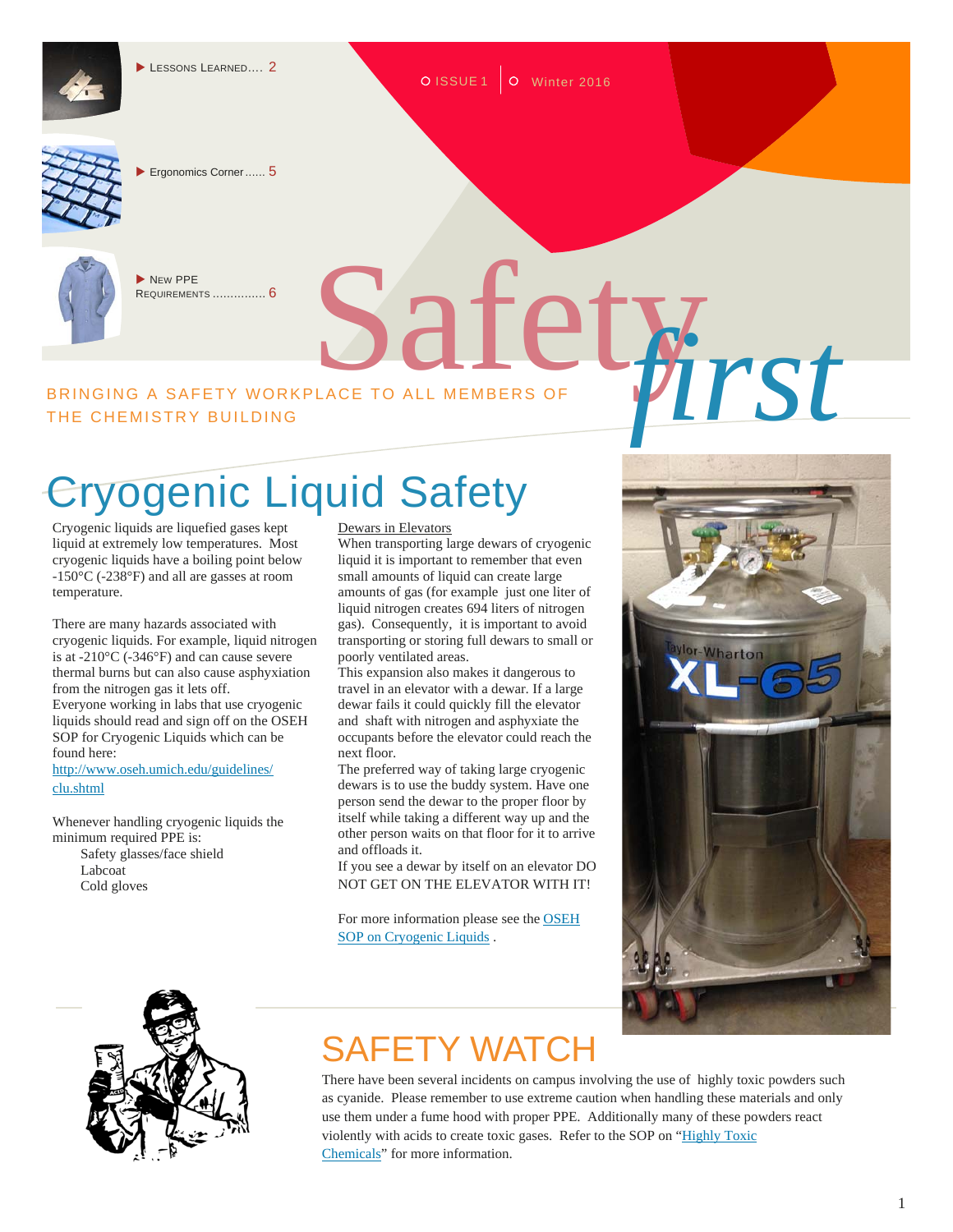

O ISSUE 1 O Winter 2016



Ergonomics Corner ...... 5



NEW PPE REQUIREMENTS ............... 6

# BRINGING A SAFETY WORKPLACE TO ALL MEMBERS OF **WARRANGEMENTS** THE CHEMISTRY BUILDING

# Cryogenic Liquid Safety

Cryogenic liquids are liquefied gases kept liquid at extremely low temperatures. Most cryogenic liquids have a boiling point below -150°C (-238°F) and all are gasses at room temperature.

There are many hazards associated with cryogenic liquids. For example, liquid nitrogen is at -210°C (-346°F) and can cause severe thermal burns but can also cause asphyxiation from the nitrogen gas it lets off. Everyone working in labs that use cryogenic liquids should read and sign off on the OSEH SOP for Cryogenic Liquids which can be found here:

http://www.oseh.umich.edu/guidelines/ clu.shtml

Whenever handling cryogenic liquids the minimum required PPE is: Safety glasses/face shield Labcoat Cold gloves



#### Dewars in Elevators

When transporting large dewars of cryogenic liquid it is important to remember that even small amounts of liquid can create large amounts of gas (for example just one liter of liquid nitrogen creates 694 liters of nitrogen gas). Consequently, it is important to avoid transporting or storing full dewars to small or poorly ventilated areas.

This expansion also makes it dangerous to travel in an elevator with a dewar. If a large dewar fails it could quickly fill the elevator and shaft with nitrogen and asphyxiate the occupants before the elevator could reach the next floor.

The preferred way of taking large cryogenic dewars is to use the buddy system. Have one person send the dewar to the proper floor by itself while taking a different way up and the other person waits on that floor for it to arrive and offloads it.

If you see a dewar by itself on an elevator DO NOT GET ON THE ELEVATOR WITH IT!

For more information please see the OSEH SOP on Cryogenic Liquids .



### SAFETY WATCH

There have been several incidents on campus involving the use of highly toxic powders such as cyanide. Please remember to use extreme caution when handling these materials and only use them under a fume hood with proper PPE. Additionally many of these powders react violently with acids to create toxic gases. Refer to the SOP on "Highly Toxic Chemicals" for more information.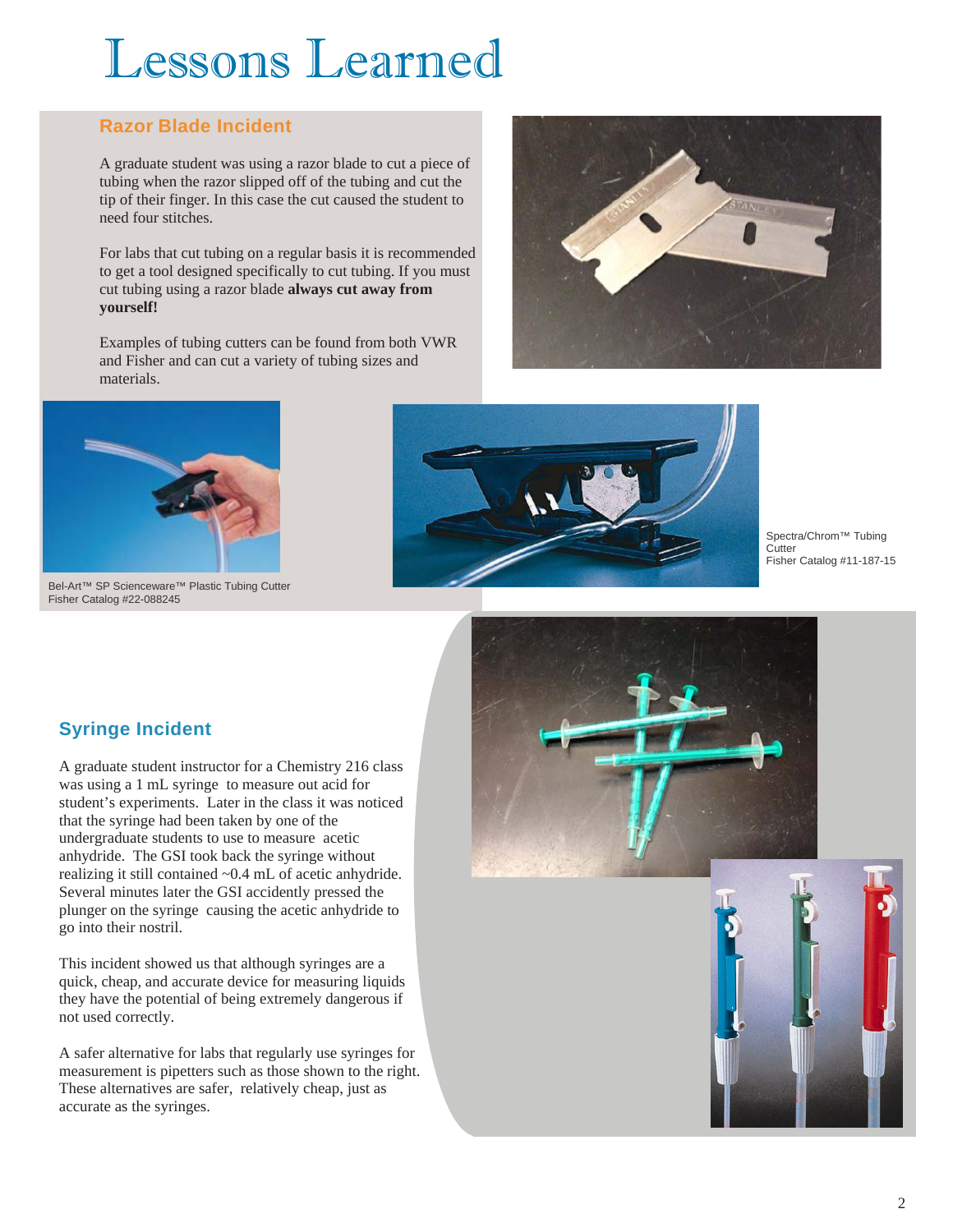# Lessons Learned

### **Razor Blade Incident**

A graduate student was using a razor blade to cut a piece of tubing when the razor slipped off of the tubing and cut the tip of their finger. In this case the cut caused the student to need four stitches.

For labs that cut tubing on a regular basis it is recommended to get a tool designed specifically to cut tubing. If you must cut tubing using a razor blade **always cut away from yourself!** 

Examples of tubing cutters can be found from both VWR and Fisher and can cut a variety of tubing sizes and materials.





Bel-Art™ SP Scienceware™ Plastic Tubing Cutter Fisher Catalog #22-088245

**Syringe Incident** 

go into their nostril.



Spectra/Chrom™ Tubing **Cutter** Fisher Catalog #11-187-15





A graduate student instructor for a Chemistry 216 class was using a 1 mL syringe to measure out acid for student's experiments. Later in the class it was noticed

that the syringe had been taken by one of the undergraduate students to use to measure acetic anhydride. The GSI took back the syringe without realizing it still contained ~0.4 mL of acetic anhydride. Several minutes later the GSI accidently pressed the plunger on the syringe causing the acetic anhydride to

A safer alternative for labs that regularly use syringes for measurement is pipetters such as those shown to the right. These alternatives are safer, relatively cheap, just as accurate as the syringes.

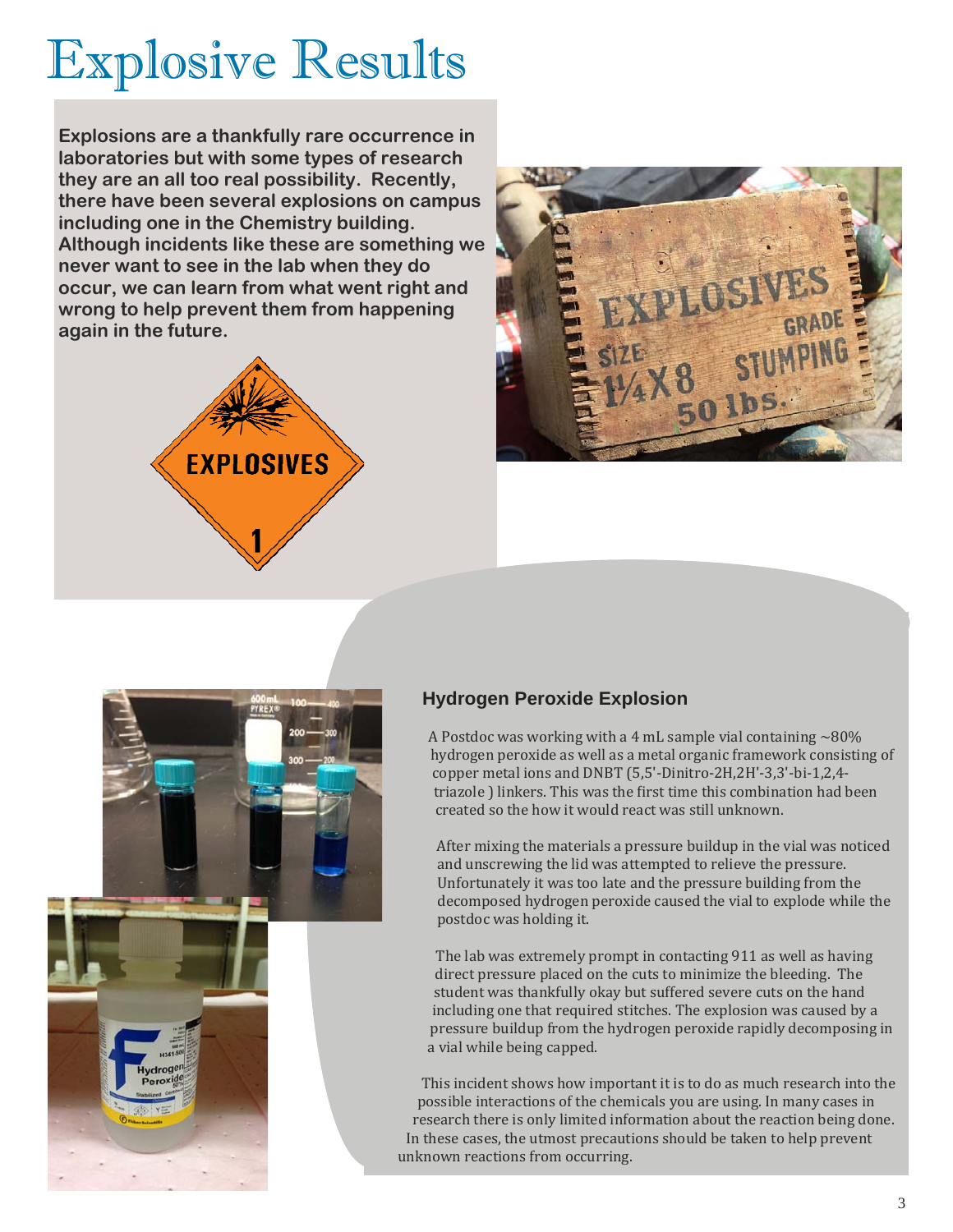# Explosive Results

**Explosions are a thankfully rare occurrence in laboratories but with some types of research they are an all too real possibility. Recently, there have been several explosions on campus including one in the Chemistry building. Although incidents like these are something we never want to see in the lab when they do occur, we can learn from what went right and wrong to help prevent them from happening again in the future.** 







#### **Hydrogen Peroxide Explosion**

A Postdoc was working with a 4 mL sample vial containing  $\sim$  80% hydrogen peroxide as well as a metal organic framework consisting of copper metal ions and DNBT (5,5'-Dinitro-2H,2H'-3,3'-bi-1,2,4triazole ) linkers. This was the first time this combination had been created so the how it would react was still unknown.

After mixing the materials a pressure buildup in the vial was noticed and unscrewing the lid was attempted to relieve the pressure. Unfortunately it was too late and the pressure building from the decomposed hydrogen peroxide caused the vial to explode while the postdoc was holding it.

The lab was extremely prompt in contacting 911 as well as having direct pressure placed on the cuts to minimize the bleeding. The student was thankfully okay but suffered severe cuts on the hand including one that required stitches. The explosion was caused by a pressure buildup from the hydrogen peroxide rapidly decomposing in a vial while being capped.

This incident shows how important it is to do as much research into the possible interactions of the chemicals you are using. In many cases in research there is only limited information about the reaction being done. In these cases, the utmost precautions should be taken to help prevent unknown reactions from occurring.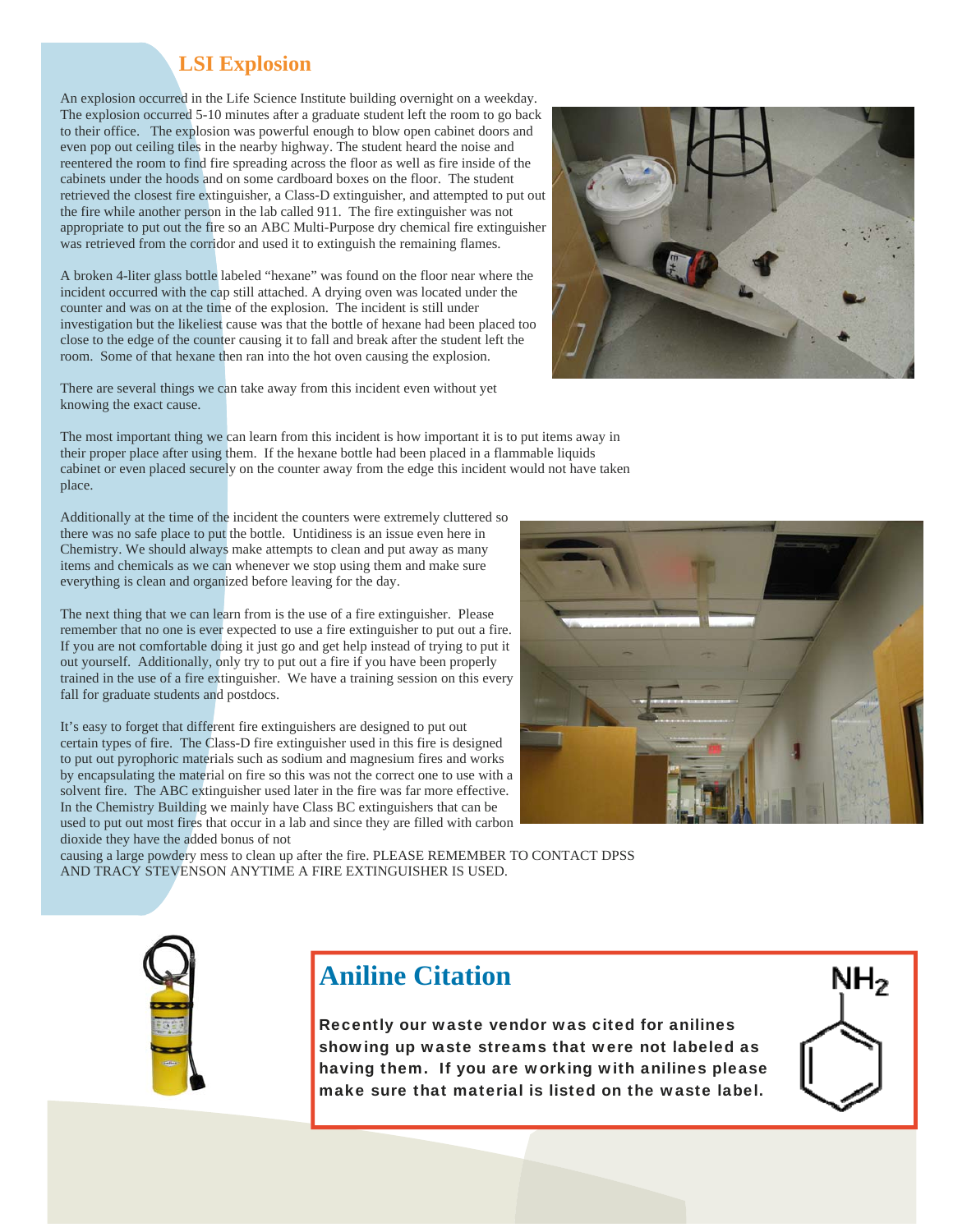### **LSI Explosion**

An explosion occurred in the Life Science Institute building overnight on a weekday. The explosion occurred 5-10 minutes after a graduate student left the room to go back to their office. The explosion was powerful enough to blow open cabinet doors and even pop out ceiling tiles in the nearby highway. The student heard the noise and reentered the room to find fire spreading across the floor as well as fire inside of the cabinets under the hoods and on some cardboard boxes on the floor. The student retrieved the closest fire extinguisher, a Class-D extinguisher, and attempted to put out the fire while another person in the lab called 911. The fire extinguisher was not appropriate to put out the fire so an ABC Multi-Purpose dry chemical fire extinguisher was retrieved from the corridor and used it to extinguish the remaining flames.

A broken 4-liter glass bottle labeled "hexane" was found on the floor near where the incident occurred with the cap still attached. A drying oven was located under the counter and was on at the time of the explosion. The incident is still under investigation but the likeliest cause was that the bottle of hexane had been placed too close to the edge of the counter causing it to fall and break after the student left the room. Some of that hexane then ran into the hot oven causing the explosion.

There are several things we can take away from this incident even without yet knowing the exact cause.

The most important thing we can learn from this incident is how important it is to put items away in their proper place after using them. If the hexane bottle had been placed in a flammable liquids cabinet or even placed securely on the counter away from the edge this incident would not have taken place.

Additionally at the time of the incident the counters were extremely cluttered so there was no safe place to put the bottle. Untidiness is an issue even here in Chemistry. We should always make attempts to clean and put away as many items and chemicals as we can whenever we stop using them and make sure everything is clean and organized before leaving for the day.

The next thing that we can learn from is the use of a fire extinguisher. Please remember that no one is ever expected to use a fire extinguisher to put out a fire. If you are not comfortable doing it just go and get help instead of trying to put it out yourself. Additionally, only try to put out a fire if you have been properly trained in the use of a fire extinguisher. We have a training session on this every fall for graduate students and postdocs.

It's easy to forget that different fire extinguishers are designed to put out certain types of fire. The Class-D fire extinguisher used in this fire is designed to put out pyrophoric materials such as sodium and magnesium fires and works by encapsulating the material on fire so this was not the correct one to use with a solvent fire. The ABC extinguisher used later in the fire was far more effective. In the Chemistry Building we mainly have Class BC extinguishers that can be used to put out most fires that occur in a lab and since they are filled with carbon dioxide they have the added bonus of not

causing a large powdery mess to clean up after the fire. PLEASE REMEMBER TO CONTACT DPSS AND TRACY STEVENSON ANYTIME A FIRE EXTINGUISHER IS USED.

### **Aniline Citation**

Recently our waste vendor was cited for anilines showing up waste streams that were not labeled as having them. If you are working with anilines please make sure that material is listed on the waste label.







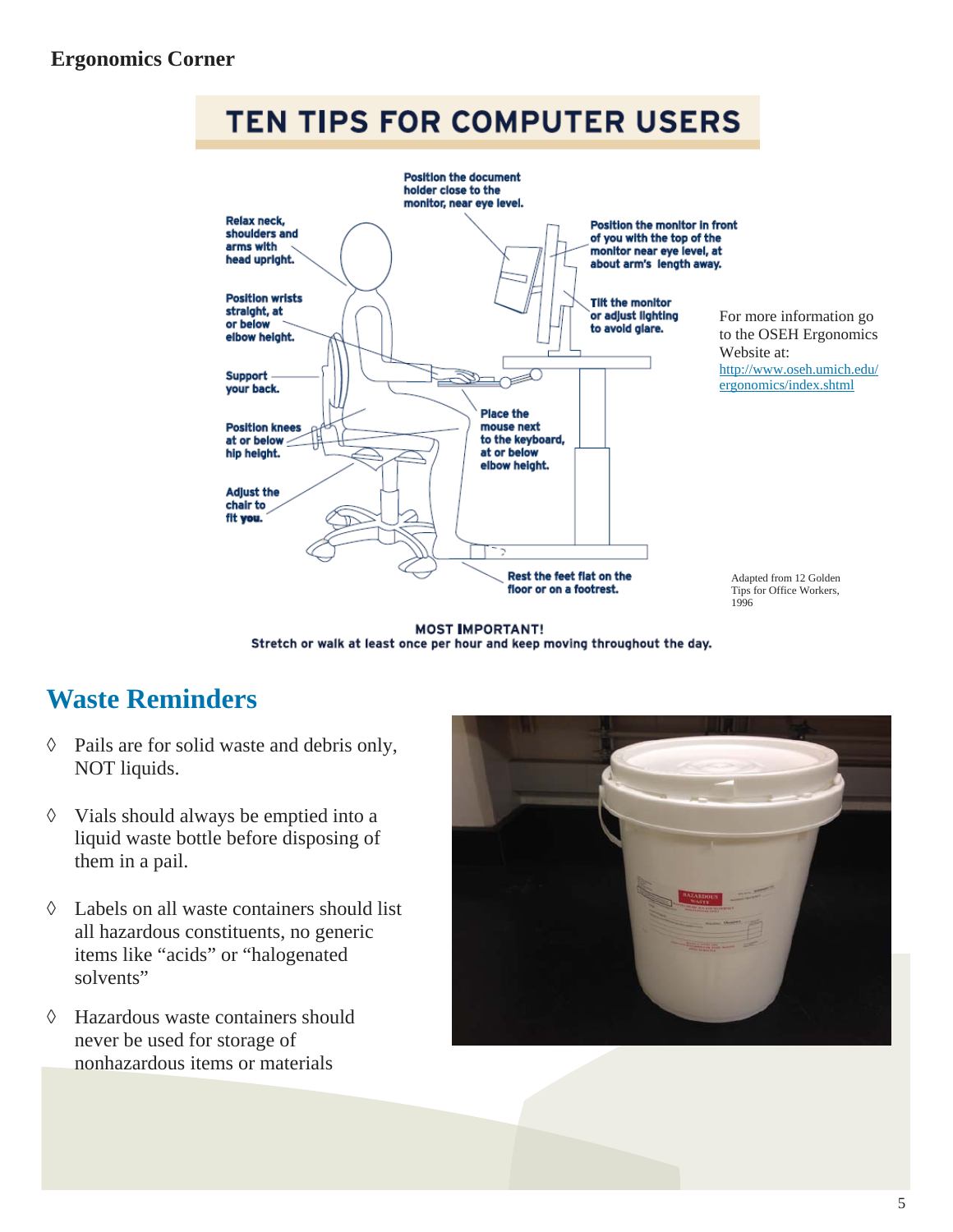### **TEN TIPS FOR COMPUTER USERS**



**MOST IMPORTANT!** Stretch or walk at least once per hour and keep moving throughout the day.

### **Waste Reminders**

- $\Diamond$  Pails are for solid waste and debris only, NOT liquids.
- $\Diamond$  Vials should always be emptied into a liquid waste bottle before disposing of them in a pail.
- Labels on all waste containers should list all hazardous constituents, no generic items like "acids" or "halogenated solvents"
- Hazardous waste containers should never be used for storage of nonhazardous items or materials